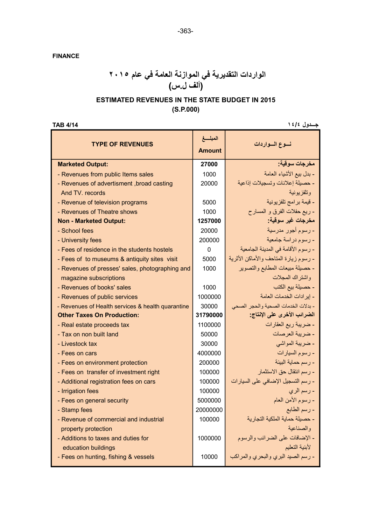FINANCE

### الواردات التقديرية في الموازنة العامة في عام ٢٠١٥ (ألف ل.س)

#### ESTIMATED REVENUES IN THE STATE BUDGET IN 2015 (S.P.000)

| جدول ١٤/٤<br><b>TAR 4/14</b>                      |                          |                                       |  |  |
|---------------------------------------------------|--------------------------|---------------------------------------|--|--|
| <b>TYPE OF REVENUES</b>                           | المبلسغ<br><b>Amount</b> | نسوع السواردات                        |  |  |
| <b>Marketed Output:</b>                           | 27000                    | مخرجات سوقية:                         |  |  |
| - Revenues from public Items sales                | 1000                     | - بدل بيع الأشياء العامة              |  |  |
| - Revenues of advertisment, broad casting         | 20000                    | - حصيلة إعلانات وتسجيلات إذاعية       |  |  |
| And TV. records                                   |                          | وتلفزيونية                            |  |  |
| - Revenue of television programs                  | 5000                     | - قيمة برامج تلفزيونية                |  |  |
| - Revenues of Theatre shows                       | 1000                     | - ريع حفلات الفرق و المسار ح          |  |  |
| <b>Non - Marketed Output:</b>                     | 1257000                  | مخرجات غير سوقية:                     |  |  |
| - School fees                                     | 20000                    | - رسوم أجور مدرسية                    |  |  |
| - University fees                                 | 200000                   | - رسوم در اسة جامعية                  |  |  |
| - Fees of residence in the students hostels       | $\Omega$                 | - رسوم الأقامة في المدينة الجامعية    |  |  |
| - Fees of to museums & antiquity sites visit      | 5000                     | - رسوم زيارة المتاحف والأماكن الأثرية |  |  |
| - Revenues of presses' sales, photographing and   | 1000                     | - حصيلة مبيعات المطابع والتصوير       |  |  |
| magazine subscriptions                            |                          | واشتراك المجلات                       |  |  |
| - Revenues of books' sales                        | 1000                     | - حصيلة بيع الكتب                     |  |  |
| - Revenues of public services                     | 1000000                  | - إيرادات الخدمات العامة              |  |  |
| - Revenues of Health services & health quarantine | 30000                    | - بدلات الخدمات الصحية والحجر الصحى   |  |  |
| <b>Other Taxes On Production:</b>                 | 31790000                 | الضرائب الأخرى على الإنتاج:           |  |  |
| - Real estate proceeds tax                        | 1100000                  | - ضريبة ريع العقارات                  |  |  |
| - Tax on non built land                           | 50000                    | - ضريبة العرصات                       |  |  |
| - Livestock tax                                   | 30000                    | - ضريبة المواشى                       |  |  |
| - Fees on cars                                    | 4000000                  | - رسوم السيارات                       |  |  |
| - Fees on environment protection                  | 200000                   | - رسم حماية البيئة                    |  |  |
| - Fees on transfer of investment right            | 100000                   | - رسم انتقال حق الاستثمار             |  |  |
| - Additional registration fees on cars            | 100000                   | - رسم التسجيل الإضافي على السيارات    |  |  |
| - Irrigation fees                                 | 100000                   | ـ رسم الري                            |  |  |
| - Fees on general security                        | 5000000                  | - رسوم الأمن العام                    |  |  |
| - Stamp fees                                      | 20000000                 | - رسم الطابع                          |  |  |
| - Revenue of commercial and industrial            | 100000                   | - حصيلة حماية الملكية التجارية        |  |  |
| property protection                               |                          | والصناعبة                             |  |  |
| - Additions to taxes and duties for               | 1000000                  | - الإضافات على الضرائب والرسوم        |  |  |
| education buildings                               |                          | لأبنية التعليم                        |  |  |
| - Fees on hunting, fishing & vessels              | 10000                    | - رسم الصبد البري والبحري والمراكب    |  |  |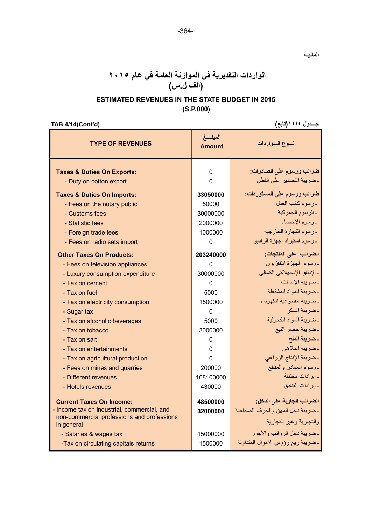### الواردات التقديرية في الموازنة العامة في عام ٢٠١٥ (ألف ل.س)

#### ESTIMATED REVENUES IN THE STATE BUDGET IN 2015 (S.P.000)

TAB 4/14(Cont'd) (تابع(١٤/٤ جـــدول

الماليـة

|                                                                                                                                            |                         | لحب المسارقين                                                                              |
|--------------------------------------------------------------------------------------------------------------------------------------------|-------------------------|--------------------------------------------------------------------------------------------|
| <b>TYPE OF REVENUES</b>                                                                                                                    | المبلغ<br><b>Amount</b> | نسوع السواردات                                                                             |
| <b>Taxes &amp; Duties On Exports:</b>                                                                                                      | 0                       | ضرائب ورسوم على الصادرات:                                                                  |
| - Duty on cotton export                                                                                                                    | $\Omega$                | ـ ضريبة التصدير على القطن                                                                  |
| <b>Taxes &amp; Duties On Imports:</b>                                                                                                      | 33050000                | ضرائب ورسوم على المستوردات:                                                                |
| - Fees on the notary public                                                                                                                | 50000                   | ـ رسوم كاتب العدل                                                                          |
| - Customs fees                                                                                                                             | 30000000                | ـ الرسوم الجمركية                                                                          |
| - Statistic fees                                                                                                                           | 2000000                 | - رسوم الإحصاء                                                                             |
| - Foreign trade fees                                                                                                                       | 1000000                 | ـ رسوم التجارة الخارجية                                                                    |
| - Fees on radio sets import                                                                                                                | $\Omega$                | ۔ رسوم استیر اد أجهز ۃ الر ادیو                                                            |
| <b>Other Taxes On Products:</b>                                                                                                            | 203240000               | الضرائب على المنتجات:                                                                      |
| - Fees on television appliances                                                                                                            | 0                       | ۔رسوم أجهزة التلفزيون                                                                      |
| - Luxury consumption expenditure                                                                                                           | 30000000                | ـ الإنفاق الإستهلاكي الكمالي                                                               |
| - Tax on cement                                                                                                                            | $\Omega$                | ـ ضريبة الإسمنت                                                                            |
| - Tax on fuel                                                                                                                              | 5000                    | ـ ضريبة المواد المشتعلة                                                                    |
| - Tax on electricity consumption                                                                                                           | 1500000                 | ـ ضريبة مقطوعية الكهرباء                                                                   |
| - Sugar tax                                                                                                                                | 0                       | ـ ضريبة السكر                                                                              |
| - Tax on alcoholic beverages                                                                                                               | 5000                    | - ضريبة المواد الكحولية                                                                    |
| - Tax on tobacco                                                                                                                           | 3000000                 | ـ ضريبة حصر التبغ                                                                          |
| - Tax on salt                                                                                                                              | 0                       | ـ ضريبة الملح                                                                              |
| - Tax on entertainments                                                                                                                    | 0                       | ۔ ضریبة الملاهي                                                                            |
| - Tax on agricultural production                                                                                                           | 0                       | ـ ضريبة الإنتاج الزراعي                                                                    |
| - Fees on mines and quarries                                                                                                               | 200000                  | ـ رسوم المعادن والمقالع                                                                    |
| - Different revenues                                                                                                                       | 168100000               | ـ إير ادات مختلفة                                                                          |
| - Hotels revenues                                                                                                                          | 430000                  | ـ إير ادات الفنادق                                                                         |
| <b>Current Taxes On Income:</b><br>- Income tax on industrial, commercial, and<br>non-commercial professions and professions<br>in general | 48500000<br>32000000    | الضرائب الجارية على الدخل:<br>ـ ضريبة دخل المهن والحرف الصناعية<br>والتجارية وغير التجارية |
| - Salaries & wages tax<br>-Tax on circulating capitals returns                                                                             | 15000000<br>1500000     | - ضريبة دخل الرواتب والأجور<br>ـ ضريبة ريع رؤوس الأموال المتداولة                          |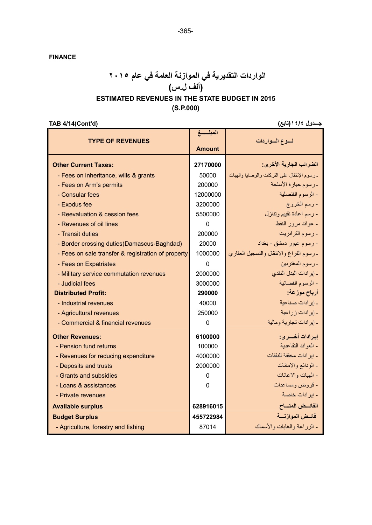FINANCE

#### الواردات التقديرية في الموازنة العامة في عام ٢٠١٥ (ألف ل.س) ESTIMATED REVENUES IN THE STATE BUDGET IN 2015

# (S.P.000)

TAB 4/14(Cont'd) (تابع(١٤/٤ جـــدول

|                                                    | المبلسغ       |                                              |
|----------------------------------------------------|---------------|----------------------------------------------|
| <b>TYPE OF REVENUES</b>                            |               | نسوع السواردات                               |
|                                                    | <b>Amount</b> |                                              |
| <b>Other Current Taxes:</b>                        | 27170000      | الضرائب الجارية الأخرى:                      |
| - Fees on inheritance, wills & grants              | 50000         | ـ رسوم الإنتقال على التركات والوصابا والهبات |
| - Fees on Arm's permits                            | 200000        | - رسوم حيازة الأسلحة                         |
| - Consular fees                                    | 12000000      | - الرسوم القنصلية                            |
| - Exodus fee                                       | 3200000       | - رسم الخروج                                 |
| - Reevaluation & cession fees                      | 5500000       | - رسم اعادة تقييم وتنازل                     |
| - Revenues of oil lines                            | $\Omega$      | - عوائد مرور النفط                           |
| - Transit duties                                   | 200000        | - رسوم الترانزيت                             |
| - Border crossing duties (Damascus-Baghdad)        | 20000         | - رسوم عبور دمشق - بغداد                     |
| - Fees on sale transfer & registration of property | 1000000       | ـ رسوم الفراغ والانتقال والتسجيل العقاري     |
| - Fees on Expatriates                              | $\Omega$      | ـ رسوم المغتربين                             |
| - Military service commutation revenues            | 2000000       | ـ إيرادات البدل النقدى                       |
| - Judicial fees                                    | 3000000       | - الرسوم القضائية                            |
| <b>Distributed Profit:</b>                         | 290000        | أرباح موزعة:                                 |
| - Industrial revenues                              | 40000         | ـ إيرادات صناعية                             |
| - Agricultural revenues                            | 250000        | ـ إيرادات زراعية                             |
| - Commercial & financial revenues                  | 0             | ـ إيرادات تجارية ومالية                      |
| <b>Other Revenues:</b>                             | 6100000       | اير ادات أخسر ي:                             |
| - Pension fund returns                             | 100000        | - العو ائد النقاعدية                         |
| - Revenues for reducing expenditure                | 4000000       | - إيرادات مخففة للنفقات                      |
| - Deposits and trusts                              | 2000000       | - الودائع والامانات                          |
| - Grants and subsidies                             | 0             | - المهبات والاعانات                          |
| - Loans & assistances                              | $\Omega$      | - قروض ومساعدات                              |
| - Private revenues                                 |               | - إير ادات خاصة                              |
| <b>Available surplus</b>                           | 628916015     | الفائسض المتساح                              |
| <b>Budget Surplus</b>                              | 455722984     | فائسض الموازنسة                              |
| - Agriculture, forestry and fishing                | 87014         | - الزر اعة والغابات والأسماك                 |